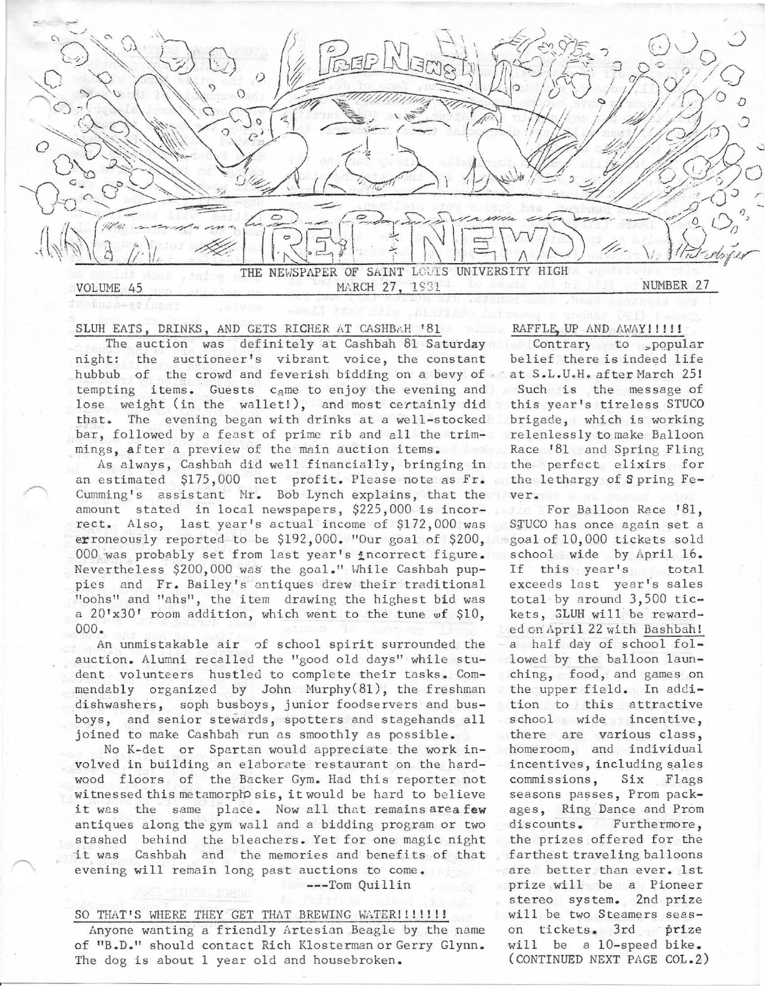

#### SLUH EATS, DRINKS, AND GETS RICHER AT CASHBAH '81

The auction was definitely at Cashbah 81 Saturday night: the auctioneer's vibrant voice, the constant hubbub of the crowd and feverish bidding on a bevy of at S.L.U.H. after March 25! tempting items. Guests came to enjoy the evening and lose weight (in the wallet!), and most certainly did that. The evening began with drinks at a well-stocked bar, followed by a feast of prime rib and all the trimmings, after a preview of the main auction items.

As always, Cashbah did well financially, bringing in an estima ted \$175,000 net profit. Please note as Fr. Cumming's assistant Mr. Bob Lynch explains, that the amount stated in local newspapers, \$225,000 is incorrect. Also, last year's actual income of \$172,000 was erroneously reported to be \$192,000. "Our goal of \$200, 000 was probably set from last year's incorrect figure. Nevertheless \$200,000 was the goal." While Cashbah puppies and Fr. Bailey's antiques drew their traditional "oohs" and "ahs", the item drawing the highest bid was a  $20' \times 30'$  room addition, which went to the tune wf  $$10$ , 000.

An unmistakable air of school spirit surrounded the auction. Alumni reca lled the "good old days" while student volunteers hustled to complete their tasks. Commendably organized by John Hurphy(81), the freshman dishwashers, soph busboys, junior foodservers and busboys, and senior stewards, spotters and stagehands all joined to make Cashbah run as smoothly as possible.

No K-det or Spartan would appreciate the work involved in building an elaborate restaurant on the hardwood floors of the Backer Gym. Had this reporter not witnessed this metamorphosis, it would be hard to believe it was the same place. Now all that remains area few antiques along the gym wall and a bidding program or two stashed behind the bleachers. Yet for one magic night it was Cashbah and the memories and benefits of that evening will remain long past auctions to come.

---Tom Quillin

### SO THAT'S WHERE THEY GET THAT BREWING WATER!!!!!!!

Anyone wanting a friendly Artesian Beagle by the name of "B.D." should contact Rich Klosterman or Gerry Glynn. The dog is about 1 year old and housebroken.

## RAFFLE, UP AND AWAY!!!!!

Contrary to popular belief there is indeed life Such is the message of this year's tireless STUCO brigade, which is working relenlessly to make Balloon Race '81 and Spring Fling the perfect elixirs for the lethargy of Spring Fever.

For Balloon Race '81, STUCO has once again set a goal of 10,000 tickets sold school wide by April 16. If this year's total exceeds last year's sales total by around  $3,500$  tickets, 3LUH will be rewarded on April 22 with Bashbah! a half day of school followed by the balloon launching, food, and games on the upper field. In addition to this attractive school wide incentive, there are various class, homeroom, and individual incentives, including sales commissions, Six Flags seasons passes, Prom packages, Ring Dance and Prom discounts. Furthermore, the prizes offered for the farthest traveling balloons are better than ever. 1st prize will be a Pioneer stereo system. 2nd prize will be two Steamers season tickets. 3rd prize will be a 10-speed bike. (CONTINUED NEXT PAGE COL. 2)